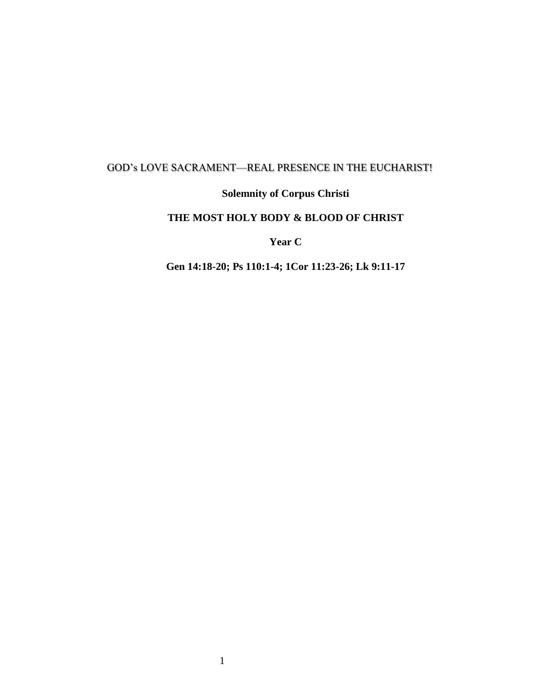## GOD's LOVE SACRAMENT—REAL PRESENCE IN THE EUCHARIST!

## **Solemnity of Corpus Christi**

## **THE MOST HOLY BODY & BLOOD OF CHRIST**

**Year C**

**Gen 14:18-20; Ps 110:1-4; 1Cor 11:23-26; Lk 9:11-17**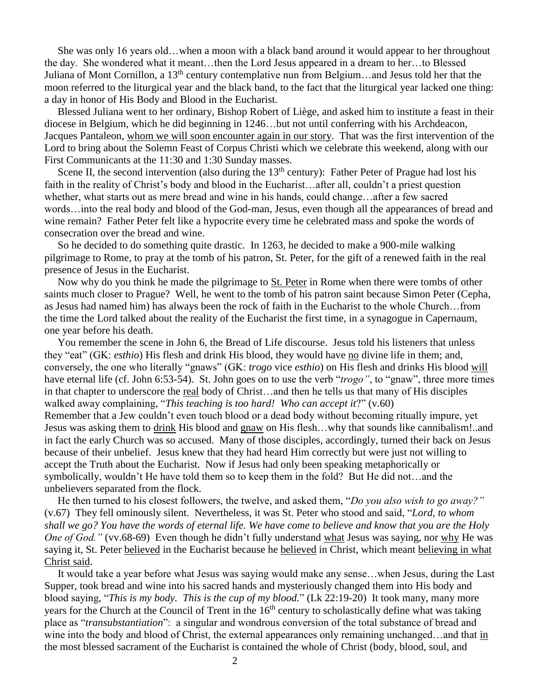She was only 16 years old…when a moon with a black band around it would appear to her throughout the day. She wondered what it meant…then the Lord Jesus appeared in a dream to her…to Blessed Juliana of Mont Cornillon, a 13<sup>th</sup> century contemplative nun from Belgium…and Jesus told her that the moon referred to the liturgical year and the black band, to the fact that the liturgical year lacked one thing: a day in honor of His Body and Blood in the Eucharist.

 Blessed Juliana went to her ordinary, Bishop Robert of Liège, and asked him to institute a feast in their diocese in Belgium, which he did beginning in 1246…but not until conferring with his Archdeacon, Jacques Pantaleon, whom we will soon encounter again in our story. That was the first intervention of the Lord to bring about the Solemn Feast of Corpus Christi which we celebrate this weekend, along with our First Communicants at the 11:30 and 1:30 Sunday masses.

Scene II, the second intervention (also during the  $13<sup>th</sup>$  century): Father Peter of Prague had lost his faith in the reality of Christ's body and blood in the Eucharist…after all, couldn't a priest question whether, what starts out as mere bread and wine in his hands, could change…after a few sacred words…into the real body and blood of the God-man, Jesus, even though all the appearances of bread and wine remain? Father Peter felt like a hypocrite every time he celebrated mass and spoke the words of consecration over the bread and wine.

 So he decided to do something quite drastic. In 1263, he decided to make a 900-mile walking pilgrimage to Rome, to pray at the tomb of his patron, St. Peter, for the gift of a renewed faith in the real presence of Jesus in the Eucharist.

 Now why do you think he made the pilgrimage to St. Peter in Rome when there were tombs of other saints much closer to Prague? Well, he went to the tomb of his patron saint because Simon Peter (Cepha, as Jesus had named him) has always been the rock of faith in the Eucharist to the whole Church…from the time the Lord talked about the reality of the Eucharist the first time, in a synagogue in Capernaum, one year before his death.

 You remember the scene in John 6, the Bread of Life discourse. Jesus told his listeners that unless they "eat" (GK: *esthio*) His flesh and drink His blood, they would have no divine life in them; and, conversely, the one who literally "gnaws" (GK: *trogo* vice *esthio*) on His flesh and drinks His blood will have eternal life (cf. John 6:53-54). St. John goes on to use the verb "*trogo"*, to "gnaw", three more times in that chapter to underscore the real body of Christ…and then he tells us that many of His disciples walked away complaining, "*This teaching is too hard! Who can accept it*?" (v.60) Remember that a Jew couldn't even touch blood or a dead body without becoming ritually impure, yet Jesus was asking them to drink His blood and gnaw on His flesh…why that sounds like cannibalism!..and in fact the early Church was so accused. Many of those disciples, accordingly, turned their back on Jesus because of their unbelief. Jesus knew that they had heard Him correctly but were just not willing to accept the Truth about the Eucharist. Now if Jesus had only been speaking metaphorically or symbolically, wouldn't He have told them so to keep them in the fold? But He did not…and the

unbelievers separated from the flock.

 He then turned to his closest followers, the twelve, and asked them, "*Do you also wish to go away?"* (v.67) They fell ominously silent. Nevertheless, it was St. Peter who stood and said, "*Lord, to whom shall we go? You have the words of eternal life. We have come to believe and know that you are the Holy One of God."* (vv.68-69) Even though he didn't fully understand what Jesus was saying, nor why He was saying it, St. Peter believed in the Eucharist because he believed in Christ, which meant believing in what Christ said.

 It would take a year before what Jesus was saying would make any sense…when Jesus, during the Last Supper, took bread and wine into his sacred hands and mysteriously changed them into His body and blood saying, "*This is my body. This is the cup of my blood.*" (Lk 22:19-20) It took many, many more years for the Church at the Council of Trent in the  $16<sup>th</sup>$  century to scholastically define what was taking place as "*transubstantiation*": a singular and wondrous conversion of the total substance of bread and wine into the body and blood of Christ, the external appearances only remaining unchanged…and that in the most blessed sacrament of the Eucharist is contained the whole of Christ (body, blood, soul, and